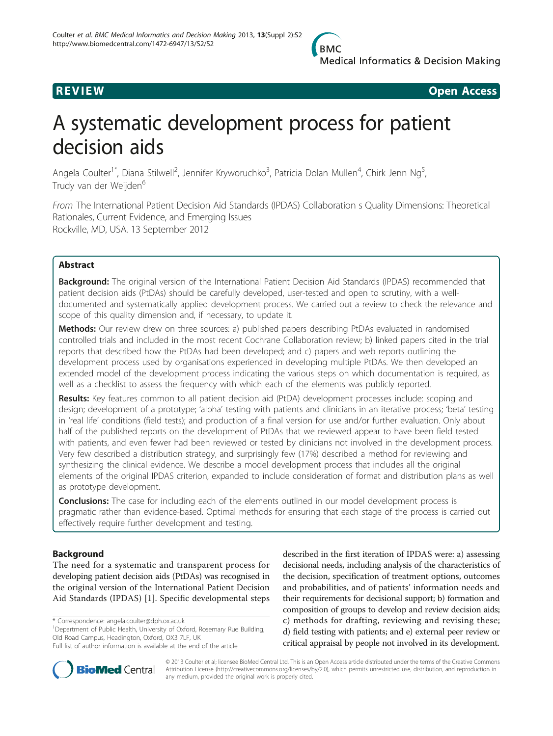

**REVIEW REVIEW CONSTRUCTER ACCESS** 

# A systematic development process for patient decision aids

Angela Coulter<sup>1\*</sup>, Diana Stilwell<sup>2</sup>, Jennifer Kryworuchko<sup>3</sup>, Patricia Dolan Mullen<sup>4</sup>, Chirk Jenn Ng<sup>5</sup> , Trudy van der Weijden<sup>6</sup>

From The International Patient Decision Aid Standards (IPDAS) Collaboration s Quality Dimensions: Theoretical Rationales, Current Evidence, and Emerging Issues Rockville, MD, USA. 13 September 2012

# Abstract

Background: The original version of the International Patient Decision Aid Standards (IPDAS) recommended that patient decision aids (PtDAs) should be carefully developed, user-tested and open to scrutiny, with a welldocumented and systematically applied development process. We carried out a review to check the relevance and scope of this quality dimension and, if necessary, to update it.

Methods: Our review drew on three sources: a) published papers describing PtDAs evaluated in randomised controlled trials and included in the most recent Cochrane Collaboration review; b) linked papers cited in the trial reports that described how the PtDAs had been developed; and c) papers and web reports outlining the development process used by organisations experienced in developing multiple PtDAs. We then developed an extended model of the development process indicating the various steps on which documentation is required, as well as a checklist to assess the frequency with which each of the elements was publicly reported.

Results: Key features common to all patient decision aid (PtDA) development processes include: scoping and design; development of a prototype; 'alpha' testing with patients and clinicians in an iterative process; 'beta' testing in 'real life' conditions (field tests); and production of a final version for use and/or further evaluation. Only about half of the published reports on the development of PtDAs that we reviewed appear to have been field tested with patients, and even fewer had been reviewed or tested by clinicians not involved in the development process. Very few described a distribution strategy, and surprisingly few (17%) described a method for reviewing and synthesizing the clinical evidence. We describe a model development process that includes all the original elements of the original IPDAS criterion, expanded to include consideration of format and distribution plans as well as prototype development.

**Conclusions:** The case for including each of the elements outlined in our model development process is pragmatic rather than evidence-based. Optimal methods for ensuring that each stage of the process is carried out effectively require further development and testing.

# Background

The need for a systematic and transparent process for developing patient decision aids (PtDAs) was recognised in the original version of the International Patient Decision Aid Standards (IPDAS) [[1\]](#page-6-0). Specific developmental steps

\* Correspondence: [angela.coulter@dph.ox.ac.uk](mailto:angela.coulter@dph.ox.ac.uk)

<sup>1</sup>Department of Public Health, University of Oxford, Rosemary Rue Building, Old Road Campus, Headington, Oxford, OX3 7LF, UK

described in the first iteration of IPDAS were: a) assessing decisional needs, including analysis of the characteristics of the decision, specification of treatment options, outcomes and probabilities, and of patients' information needs and their requirements for decisional support; b) formation and composition of groups to develop and review decision aids; c) methods for drafting, reviewing and revising these; d) field testing with patients; and e) external peer review or critical appraisal by people not involved in its development.



© 2013 Coulter et al; licensee BioMed Central Ltd. This is an Open Access article distributed under the terms of the Creative Commons Attribution License [\(http://creativecommons.org/licenses/by/2.0](http://creativecommons.org/licenses/by/2.0)), which permits unrestricted use, distribution, and reproduction in any medium, provided the original work is properly cited.

Full list of author information is available at the end of the article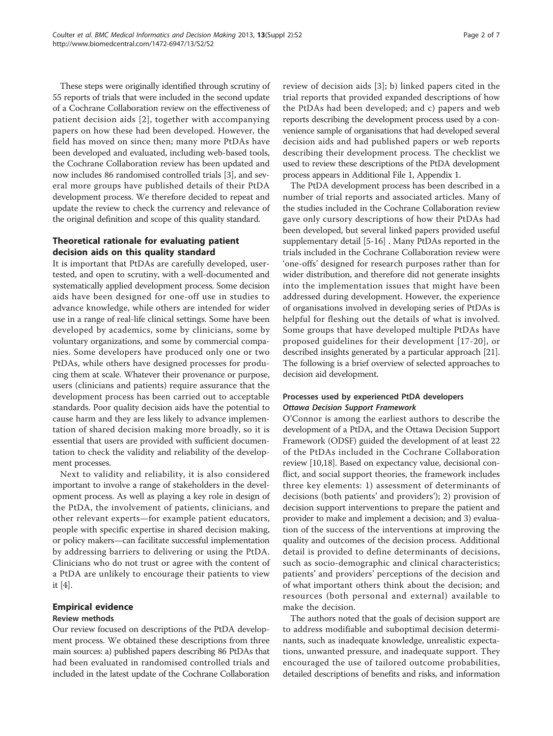These steps were originally identified through scrutiny of 55 reports of trials that were included in the second update of a Cochrane Collaboration review on the effectiveness of patient decision aids [[2](#page-6-0)], together with accompanying papers on how these had been developed. However, the field has moved on since then; many more PtDAs have been developed and evaluated, including web-based tools, the Cochrane Collaboration review has been updated and now includes 86 randomised controlled trials [\[3](#page-6-0)], and several more groups have published details of their PtDA development process. We therefore decided to repeat and update the review to check the currency and relevance of the original definition and scope of this quality standard.

# Theoretical rationale for evaluating patient decision aids on this quality standard

It is important that PtDAs are carefully developed, usertested, and open to scrutiny, with a well-documented and systematically applied development process. Some decision aids have been designed for one-off use in studies to advance knowledge, while others are intended for wider use in a range of real-life clinical settings. Some have been developed by academics, some by clinicians, some by voluntary organizations, and some by commercial companies. Some developers have produced only one or two PtDAs, while others have designed processes for producing them at scale. Whatever their provenance or purpose, users (clinicians and patients) require assurance that the development process has been carried out to acceptable standards. Poor quality decision aids have the potential to cause harm and they are less likely to advance implementation of shared decision making more broadly, so it is essential that users are provided with sufficient documentation to check the validity and reliability of the development processes.

Next to validity and reliability, it is also considered important to involve a range of stakeholders in the development process. As well as playing a key role in design of the PtDA, the involvement of patients, clinicians, and other relevant experts—for example patient educators, people with specific expertise in shared decision making, or policy makers—can facilitate successful implementation by addressing barriers to delivering or using the PtDA. Clinicians who do not trust or agree with the content of a PtDA are unlikely to encourage their patients to view it [\[4\]](#page-6-0).

# Empirical evidence

# Review methods

Our review focused on descriptions of the PtDA development process. We obtained these descriptions from three main sources: a) published papers describing 86 PtDAs that had been evaluated in randomised controlled trials and included in the latest update of the Cochrane Collaboration review of decision aids [\[3](#page-6-0)]; b) linked papers cited in the trial reports that provided expanded descriptions of how the PtDAs had been developed; and c) papers and web reports describing the development process used by a convenience sample of organisations that had developed several decision aids and had published papers or web reports describing their development process. The checklist we used to review these descriptions of the PtDA development process appears in Additional File [1](#page-5-0), Appendix 1.

The PtDA development process has been described in a number of trial reports and associated articles. Many of the studies included in the Cochrane Collaboration review gave only cursory descriptions of how their PtDAs had been developed, but several linked papers provided useful supplementary detail [\[5](#page-6-0)-[16](#page-6-0)] . Many PtDAs reported in the trials included in the Cochrane Collaboration review were 'one-offs' designed for research purposes rather than for wider distribution, and therefore did not generate insights into the implementation issues that might have been addressed during development. However, the experience of organisations involved in developing series of PtDAs is helpful for fleshing out the details of what is involved. Some groups that have developed multiple PtDAs have proposed guidelines for their development [[17](#page-6-0)-[20](#page-6-0)], or described insights generated by a particular approach [[21](#page-6-0)]. The following is a brief overview of selected approaches to decision aid development.

# Processes used by experienced PtDA developers Ottawa Decision Support Framework

O'Connor is among the earliest authors to describe the development of a PtDA, and the Ottawa Decision Support Framework (ODSF) guided the development of at least 22 of the PtDAs included in the Cochrane Collaboration review [[10,18\]](#page-6-0). Based on expectancy value, decisional conflict, and social support theories, the framework includes three key elements: 1) assessment of determinants of decisions (both patients' and providers'); 2) provision of decision support interventions to prepare the patient and provider to make and implement a decision; and 3) evaluation of the success of the interventions at improving the quality and outcomes of the decision process. Additional detail is provided to define determinants of decisions, such as socio-demographic and clinical characteristics; patients' and providers' perceptions of the decision and of what important others think about the decision; and resources (both personal and external) available to make the decision.

The authors noted that the goals of decision support are to address modifiable and suboptimal decision determinants, such as inadequate knowledge, unrealistic expectations, unwanted pressure, and inadequate support. They encouraged the use of tailored outcome probabilities, detailed descriptions of benefits and risks, and information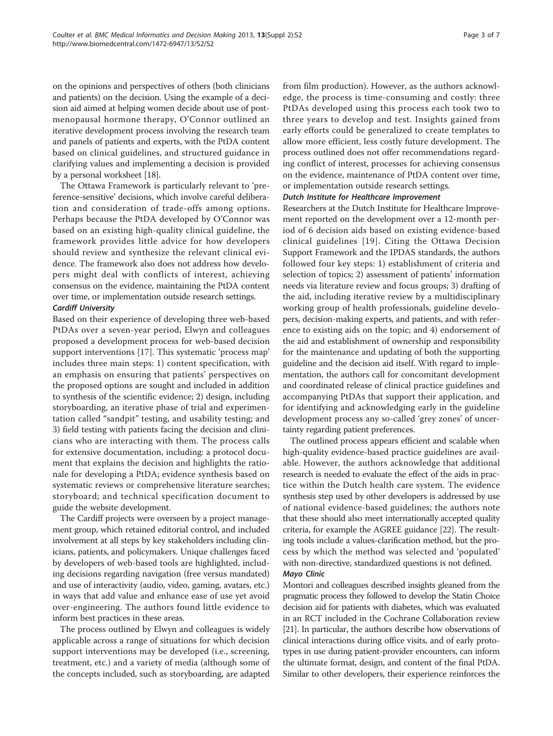on the opinions and perspectives of others (both clinicians and patients) on the decision. Using the example of a decision aid aimed at helping women decide about use of postmenopausal hormone therapy, O'Connor outlined an iterative development process involving the research team and panels of patients and experts, with the PtDA content based on clinical guidelines, and structured guidance in clarifying values and implementing a decision is provided by a personal worksheet [\[18\]](#page-6-0).

The Ottawa Framework is particularly relevant to 'preference-sensitive' decisions, which involve careful deliberation and consideration of trade-offs among options. Perhaps because the PtDA developed by O'Connor was based on an existing high-quality clinical guideline, the framework provides little advice for how developers should review and synthesize the relevant clinical evidence. The framework also does not address how developers might deal with conflicts of interest, achieving consensus on the evidence, maintaining the PtDA content over time, or implementation outside research settings.

# Cardiff University

Based on their experience of developing three web-based PtDAs over a seven-year period, Elwyn and colleagues proposed a development process for web-based decision support interventions [\[17\]](#page-6-0). This systematic 'process map' includes three main steps: 1) content specification, with an emphasis on ensuring that patients' perspectives on the proposed options are sought and included in addition to synthesis of the scientific evidence; 2) design, including storyboarding, an iterative phase of trial and experimentation called "sandpit" testing, and usability testing; and 3) field testing with patients facing the decision and clinicians who are interacting with them. The process calls for extensive documentation, including: a protocol document that explains the decision and highlights the rationale for developing a PtDA; evidence synthesis based on systematic reviews or comprehensive literature searches; storyboard; and technical specification document to guide the website development.

The Cardiff projects were overseen by a project management group, which retained editorial control, and included involvement at all steps by key stakeholders including clinicians, patients, and policymakers. Unique challenges faced by developers of web-based tools are highlighted, including decisions regarding navigation (free versus mandated) and use of interactivity (audio, video, gaming, avatars, etc.) in ways that add value and enhance ease of use yet avoid over-engineering. The authors found little evidence to inform best practices in these areas.

The process outlined by Elwyn and colleagues is widely applicable across a range of situations for which decision support interventions may be developed (i.e., screening, treatment, etc.) and a variety of media (although some of the concepts included, such as storyboarding, are adapted from film production). However, as the authors acknowledge, the process is time-consuming and costly: three PtDAs developed using this process each took two to three years to develop and test. Insights gained from early efforts could be generalized to create templates to allow more efficient, less costly future development. The process outlined does not offer recommendations regarding conflict of interest, processes for achieving consensus on the evidence, maintenance of PtDA content over time, or implementation outside research settings.

## Dutch Institute for Healthcare Improvement

Researchers at the Dutch Institute for Healthcare Improvement reported on the development over a 12-month period of 6 decision aids based on existing evidence-based clinical guidelines [\[19\]](#page-6-0). Citing the Ottawa Decision Support Framework and the IPDAS standards, the authors followed four key steps: 1) establishment of criteria and selection of topics; 2) assessment of patients' information needs via literature review and focus groups; 3) drafting of the aid, including iterative review by a multidisciplinary working group of health professionals, guideline developers, decision-making experts, and patients, and with reference to existing aids on the topic; and 4) endorsement of the aid and establishment of ownership and responsibility for the maintenance and updating of both the supporting guideline and the decision aid itself. With regard to implementation, the authors call for concomitant development and coordinated release of clinical practice guidelines and accompanying PtDAs that support their application, and for identifying and acknowledging early in the guideline development process any so-called 'grey zones' of uncertainty regarding patient preferences.

The outlined process appears efficient and scalable when high-quality evidence-based practice guidelines are available. However, the authors acknowledge that additional research is needed to evaluate the effect of the aids in practice within the Dutch health care system. The evidence synthesis step used by other developers is addressed by use of national evidence-based guidelines; the authors note that these should also meet internationally accepted quality criteria, for example the AGREE guidance [[22](#page-6-0)]. The resulting tools include a values-clarification method, but the process by which the method was selected and 'populated' with non-directive, standardized questions is not defined.

### Mayo Clinic

Montori and colleagues described insights gleaned from the pragmatic process they followed to develop the Statin Choice decision aid for patients with diabetes, which was evaluated in an RCT included in the Cochrane Collaboration review [[21](#page-6-0)]. In particular, the authors describe how observations of clinical interactions during office visits, and of early prototypes in use during patient-provider encounters, can inform the ultimate format, design, and content of the final PtDA. Similar to other developers, their experience reinforces the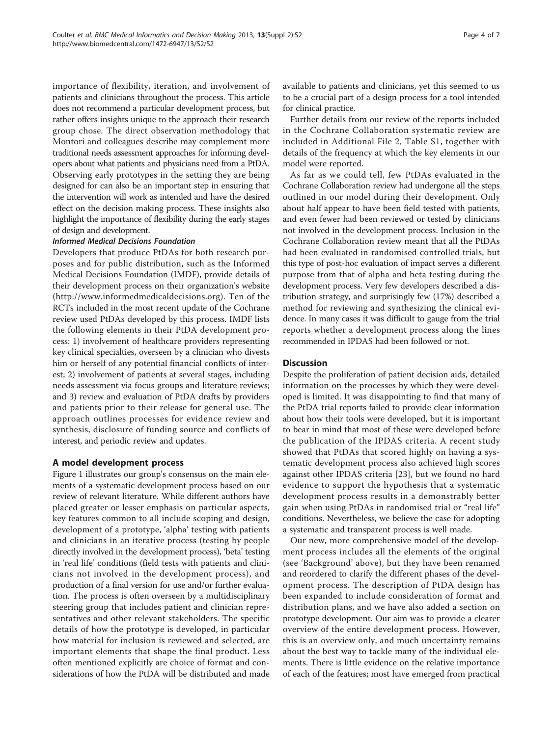importance of flexibility, iteration, and involvement of patients and clinicians throughout the process. This article does not recommend a particular development process, but rather offers insights unique to the approach their research group chose. The direct observation methodology that Montori and colleagues describe may complement more traditional needs assessment approaches for informing developers about what patients and physicians need from a PtDA. Observing early prototypes in the setting they are being designed for can also be an important step in ensuring that the intervention will work as intended and have the desired effect on the decision making process. These insights also highlight the importance of flexibility during the early stages of design and development.

#### Informed Medical Decisions Foundation

Developers that produce PtDAs for both research purposes and for public distribution, such as the Informed Medical Decisions Foundation (IMDF), provide details of their development process on their organization's website (<http://www.informedmedicaldecisions.org>). Ten of the RCTs included in the most recent update of the Cochrane review used PtDAs developed by this process. IMDF lists the following elements in their PtDA development process: 1) involvement of healthcare providers representing key clinical specialties, overseen by a clinician who divests him or herself of any potential financial conflicts of interest; 2) involvement of patients at several stages, including needs assessment via focus groups and literature reviews; and 3) review and evaluation of PtDA drafts by providers and patients prior to their release for general use. The approach outlines processes for evidence review and synthesis, disclosure of funding source and conflicts of interest, and periodic review and updates.

#### A model development process

Figure [1](#page-4-0) illustrates our group's consensus on the main elements of a systematic development process based on our review of relevant literature. While different authors have placed greater or lesser emphasis on particular aspects, key features common to all include scoping and design, development of a prototype, 'alpha' testing with patients and clinicians in an iterative process (testing by people directly involved in the development process), 'beta' testing in 'real life' conditions (field tests with patients and clinicians not involved in the development process), and production of a final version for use and/or further evaluation. The process is often overseen by a multidisciplinary steering group that includes patient and clinician representatives and other relevant stakeholders. The specific details of how the prototype is developed, in particular how material for inclusion is reviewed and selected, are important elements that shape the final product. Less often mentioned explicitly are choice of format and considerations of how the PtDA will be distributed and made available to patients and clinicians, yet this seemed to us to be a crucial part of a design process for a tool intended for clinical practice.

Further details from our review of the reports included in the Cochrane Collaboration systematic review are included in Additional File [2,](#page-5-0) Table S1, together with details of the frequency at which the key elements in our model were reported.

As far as we could tell, few PtDAs evaluated in the Cochrane Collaboration review had undergone all the steps outlined in our model during their development. Only about half appear to have been field tested with patients, and even fewer had been reviewed or tested by clinicians not involved in the development process. Inclusion in the Cochrane Collaboration review meant that all the PtDAs had been evaluated in randomised controlled trials, but this type of post-hoc evaluation of impact serves a different purpose from that of alpha and beta testing during the development process. Very few developers described a distribution strategy, and surprisingly few (17%) described a method for reviewing and synthesizing the clinical evidence. In many cases it was difficult to gauge from the trial reports whether a development process along the lines recommended in IPDAS had been followed or not.

### **Discussion**

Despite the proliferation of patient decision aids, detailed information on the processes by which they were developed is limited. It was disappointing to find that many of the PtDA trial reports failed to provide clear information about how their tools were developed, but it is important to bear in mind that most of these were developed before the publication of the IPDAS criteria. A recent study showed that PtDAs that scored highly on having a systematic development process also achieved high scores against other IPDAS criteria [[23](#page-6-0)], but we found no hard evidence to support the hypothesis that a systematic development process results in a demonstrably better gain when using PtDAs in randomised trial or "real life" conditions. Nevertheless, we believe the case for adopting a systematic and transparent process is well made.

Our new, more comprehensive model of the development process includes all the elements of the original (see 'Background' above), but they have been renamed and reordered to clarify the different phases of the development process. The description of PtDA design has been expanded to include consideration of format and distribution plans, and we have also added a section on prototype development. Our aim was to provide a clearer overview of the entire development process. However, this is an overview only, and much uncertainty remains about the best way to tackle many of the individual elements. There is little evidence on the relative importance of each of the features; most have emerged from practical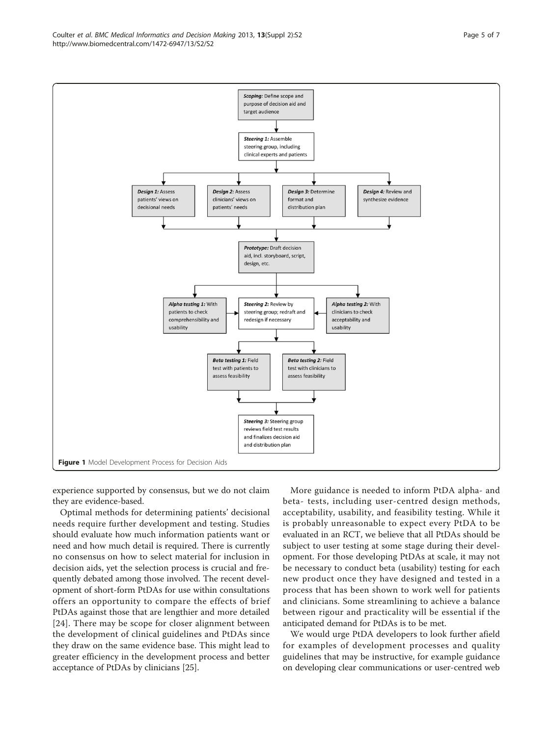experience supported by consensus, but we do not claim they are evidence-based.

Optimal methods for determining patients' decisional needs require further development and testing. Studies should evaluate how much information patients want or need and how much detail is required. There is currently no consensus on how to select material for inclusion in decision aids, yet the selection process is crucial and frequently debated among those involved. The recent development of short-form PtDAs for use within consultations offers an opportunity to compare the effects of brief PtDAs against those that are lengthier and more detailed [[24](#page-6-0)]. There may be scope for closer alignment between the development of clinical guidelines and PtDAs since they draw on the same evidence base. This might lead to greater efficiency in the development process and better acceptance of PtDAs by clinicians [[25](#page-6-0)].

More guidance is needed to inform PtDA alpha- and beta- tests, including user-centred design methods, acceptability, usability, and feasibility testing. While it is probably unreasonable to expect every PtDA to be evaluated in an RCT, we believe that all PtDAs should be subject to user testing at some stage during their development. For those developing PtDAs at scale, it may not be necessary to conduct beta (usability) testing for each new product once they have designed and tested in a process that has been shown to work well for patients and clinicians. Some streamlining to achieve a balance between rigour and practicality will be essential if the anticipated demand for PtDAs is to be met.

We would urge PtDA developers to look further afield for examples of development processes and quality guidelines that may be instructive, for example guidance on developing clear communications or user-centred web

<span id="page-4-0"></span>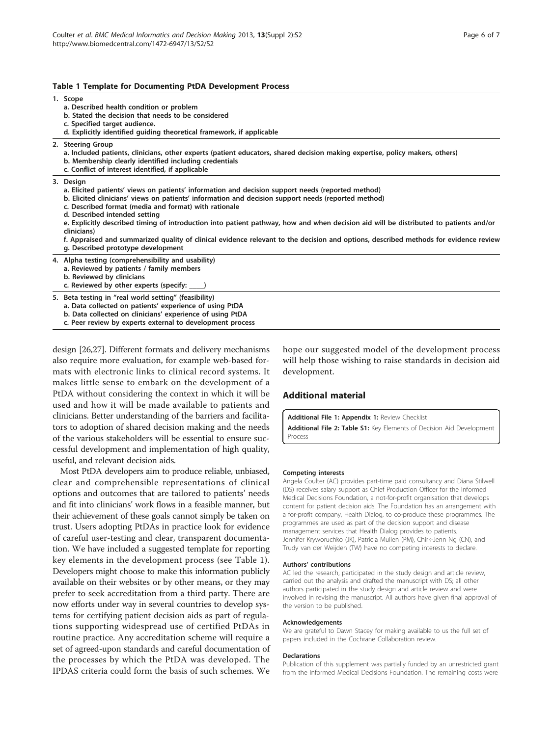#### <span id="page-5-0"></span>Table 1 Template for Documenting PtDA Development Process

1. Scope

- a. Described health condition or problem
- b. Stated the decision that needs to be considered
- c. Specified target audience. d. Explicitly identified guiding theoretical framework, if applicable
- 
- 2. Steering Group
	- a. Included patients, clinicians, other experts (patient educators, shared decision making expertise, policy makers, others)
	- b. Membership clearly identified including credentials
	- c. Conflict of interest identified, if applicable

#### 3. Design

- a. Elicited patients' views on patients' information and decision support needs (reported method)
- b. Elicited clinicians' views on patients' information and decision support needs (reported method)
- c. Described format (media and format) with rationale
- d. Described intended setting

useful, and relevant decision aids.

- e. Explicitly described timing of introduction into patient pathway, how and when decision aid will be distributed to patients and/or clinicians)
- f. Appraised and summarized quality of clinical evidence relevant to the decision and options, described methods for evidence review g. Described prototype development
- 4. Alpha testing (comprehensibility and usability) a. Reviewed by patients / family members b. Reviewed by clinicians c. Reviewed by other experts (specify: 5. Beta testing in "real world setting" (feasibility)

a. Data collected on patients' experience of using PtDA

b. Data collected on clinicians' experience of using PtDA

c. Peer review by experts external to development process

design [\[26,27\]](#page-6-0). Different formats and delivery mechanisms also require more evaluation, for example web-based formats with electronic links to clinical record systems. It makes little sense to embark on the development of a PtDA without considering the context in which it will be used and how it will be made available to patients and clinicians. Better understanding of the barriers and facilitators to adoption of shared decision making and the needs of the various stakeholders will be essential to ensure successful development and implementation of high quality,

Most PtDA developers aim to produce reliable, unbiased, clear and comprehensible representations of clinical options and outcomes that are tailored to patients' needs and fit into clinicians' work flows in a feasible manner, but their achievement of these goals cannot simply be taken on trust. Users adopting PtDAs in practice look for evidence of careful user-testing and clear, transparent documentation. We have included a suggested template for reporting key elements in the development process (see Table 1). Developers might choose to make this information publicly available on their websites or by other means, or they may prefer to seek accreditation from a third party. There are now efforts under way in several countries to develop systems for certifying patient decision aids as part of regulations supporting widespread use of certified PtDAs in routine practice. Any accreditation scheme will require a set of agreed-upon standards and careful documentation of the processes by which the PtDA was developed. The IPDAS criteria could form the basis of such schemes. We

Page 6 of 7

hope our suggested model of the development process will help those wishing to raise standards in decision aid development.

# Additional material

[Additional File 1:](http://www.biomedcentral.com/content/supplementary/1472-6947-13-S2-S2-S1.pdf) Appendix 1: Review Checklist

[Additional File 2:](http://www.biomedcentral.com/content/supplementary/1472-6947-13-S2-S2-S2.pdf) Table S1: Key Elements of Decision Aid Development Process

#### Competing interests

Angela Coulter (AC) provides part-time paid consultancy and Diana Stilwell (DS) receives salary support as Chief Production Officer for the Informed Medical Decisions Foundation, a not-for-profit organisation that develops content for patient decision aids. The Foundation has an arrangement with a for-profit company, Health Dialog, to co-produce these programmes. The programmes are used as part of the decision support and disease management services that Health Dialog provides to patients. Jennifer Kryworuchko (JK), Patricia Mullen (PM), Chirk-Jenn Ng (CN), and Trudy van der Weijden (TW) have no competing interests to declare.

#### Authors' contributions

AC led the research, participated in the study design and article review, carried out the analysis and drafted the manuscript with DS; all other authors participated in the study design and article review and were involved in revising the manuscript. All authors have given final approval of the version to be published.

#### Acknowledgements

We are grateful to Dawn Stacey for making available to us the full set of papers included in the Cochrane Collaboration review.

#### **Declarations**

Publication of this supplement was partially funded by an unrestricted grant from the Informed Medical Decisions Foundation. The remaining costs were